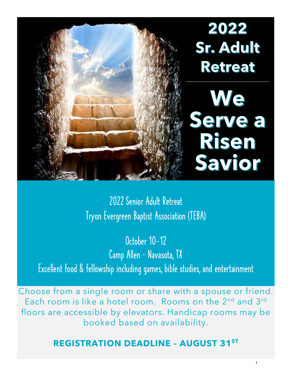

2022 Senior Adult Retreat Tryon Evergreen Baptist Association (TEBA)

October 10-12 Camp Allen – Navasota, TX Excellent food & fellowship including games, bible studies, and entertainment

Choose from a single room or share with a spouse or friend. Each room is like a hotel room. Rooms on the 2<sup>nd</sup> and 3<sup>rd</sup> floors are accessible by elevators. Handicap rooms may be booked based on availability.

# **REGISTRATION DEADLINE – AUGUST 31ST**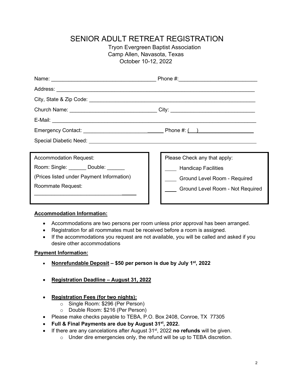## SENIOR ADULT RETREAT REGISTRATION

Tryon Evergreen Baptist Association Camp Allen, Navasota, Texas October 10-12, 2022

| Church Name: __________________________________City: ___________________________ |                                  |  |
|----------------------------------------------------------------------------------|----------------------------------|--|
|                                                                                  |                                  |  |
|                                                                                  |                                  |  |
|                                                                                  |                                  |  |
|                                                                                  |                                  |  |
| <b>Accommodation Request:</b>                                                    | Please Check any that apply:     |  |
| Room: Single: _______ Double: ______                                             | <b>Handicap Facilities</b>       |  |
| (Prices listed under Payment Information)                                        | Ground Level Room - Required     |  |
| Roommate Request:                                                                | Ground Level Room - Not Required |  |
|                                                                                  |                                  |  |

### **Accommodation Information:**

- Accommodations are two persons per room unless prior approval has been arranged.
- Registration for all roommates must be received before a room is assigned.
- If the accommodations you request are not available, you will be called and asked if you desire other accommodations

### **Payment Information:**

- **Nonrefundable Deposit \$50 per person is due by July 1st, 2022**
- **Registration Deadline August 31, 2022**
- **Registration Fees (for two nights):**
	- o Single Room: \$296 (Per Person)
	- o Double Room: \$216 (Per Person)
- Please make checks payable to TEBA, P.O. Box 2408, Conroe, TX 77305
- **Full & Final Payments are due by August 31st, 2022.**
- If there are any cancelations after August 31<sup>st</sup>, 2022 **no refunds** will be given.
	- o Under dire emergencies only, the refund will be up to TEBA discretion.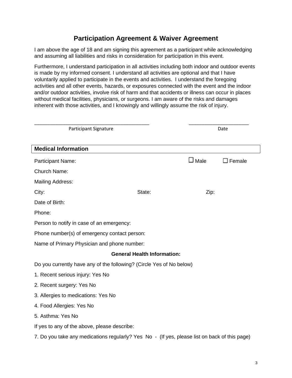### **Participation Agreement & Waiver Agreement**

I am above the age of 18 and am signing this agreement as a participant while acknowledging and assuming all liabilities and risks in consideration for participation in this event.

Furthermore, I understand participation in all activities including both indoor and outdoor events is made by my informed consent. I understand all activities are optional and that I have voluntarily applied to participate in the events and activities. I understand the foregoing activities and all other events, hazards, or exposures connected with the event and the indoor and/or outdoor activities, involve risk of harm and that accidents or illness can occur in places without medical facilities, physicians, or surgeons. I am aware of the risks and damages inherent with those activities, and I knowingly and willingly assume the risk of injury.

| <b>Participant Signature</b>                                                                  |        | Date           |                  |  |
|-----------------------------------------------------------------------------------------------|--------|----------------|------------------|--|
| <b>Medical Information</b>                                                                    |        |                |                  |  |
| Participant Name:                                                                             |        | $\square$ Male | $\square$ Female |  |
| Church Name:                                                                                  |        |                |                  |  |
| <b>Mailing Address:</b>                                                                       |        |                |                  |  |
| City:                                                                                         | State: | Zip:           |                  |  |
| Date of Birth:                                                                                |        |                |                  |  |
| Phone:                                                                                        |        |                |                  |  |
| Person to notify in case of an emergency:                                                     |        |                |                  |  |
| Phone number(s) of emergency contact person:                                                  |        |                |                  |  |
| Name of Primary Physician and phone number:                                                   |        |                |                  |  |
| <b>General Health Information:</b>                                                            |        |                |                  |  |
| Do you currently have any of the following? (Circle Yes of No below)                          |        |                |                  |  |
| 1. Recent serious injury: Yes No                                                              |        |                |                  |  |
| 2. Recent surgery: Yes No                                                                     |        |                |                  |  |
| 3. Allergies to medications: Yes No                                                           |        |                |                  |  |
| 4. Food Allergies: Yes No                                                                     |        |                |                  |  |
| 5. Asthma: Yes No                                                                             |        |                |                  |  |
| If yes to any of the above, please describe:                                                  |        |                |                  |  |
| 7. Do you take any medications regularly? Yes No - (If yes, please list on back of this page) |        |                |                  |  |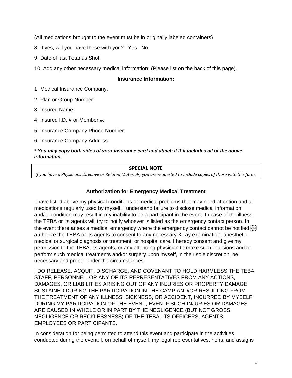(All medications brought to the event must be in originally labeled containers)

8. If yes, will you have these with you? Yes No

9. Date of last Tetanus Shot:

10. Add any other necessary medical information: (Please list on the back of this page).

### **Insurance Information:**

1. Medical Insurance Company:

2. Plan or Group Number:

3. Insured Name:

4. Insured I.D. # or Member #:

5. Insurance Company Phone Number:

6. Insurance Company Address:

#### *\* You may copy both sides of your insurance card and attach it if it includes all of the above information.*

### **SPECIAL NOTE**

*If you have a Physicians Directive or Related Materials, you are requested to include copies of those with this form.*

### **Authorization for Emergency Medical Treatment**

I have listed above my physical conditions or medical problems that may need attention and all medications regularly used by myself. I understand failure to disclose medical information and/or condition may result in my inability to be a participant in the event. In case of the illness, the TEBA or its agents will try to notify whoever is listed as the emergency contact person. In the event there arises a medical emergency where the emergency contact cannot be notified. authorize the TEBA or its agents to consent to any necessary X-ray examination, anesthetic, medical or surgical diagnosis or treatment, or hospital care. I hereby consent and give my permission to the TEBA, its agents, or any attending physician to make such decisions and to perform such medical treatments and/or surgery upon myself, in their sole discretion, be necessary and proper under the circumstances.

I DO RELEASE, ACQUIT, DISCHARGE, AND COVENANT TO HOLD HARMLESS THE TEBA STAFF, PERSONNEL, OR ANY OF ITS REPRESENTATIVES FROM ANY ACTIONS, DAMAGES, OR LIABILITIES ARISING OUT OF ANY INJURIES OR PROPERTY DAMAGE SUSTAINED DURING THE PARTICIPATION IN THE CAMP AND/OR RESULTING FROM THE TREATMENT OF ANY ILLNESS, SICKNESS, OR ACCIDENT, INCURRED BY MYSELF DURING MY PARTICIPATION OF THE EVENT, EVEN IF SUCH INJURIES OR DAMAGES ARE CAUSED IN WHOLE OR IN PART BY THE NEGLIGENCE (BUT NOT GROSS NEGLIGENCE OR RECKLESSNESS) OF THE TEBA, ITS OFFICERS, AGENTS, EMPLOYEES OR PARTICIPANTS.

In consideration for being permitted to attend this event and participate in the activities conducted during the event, I, on behalf of myself, my legal representatives, heirs, and assigns